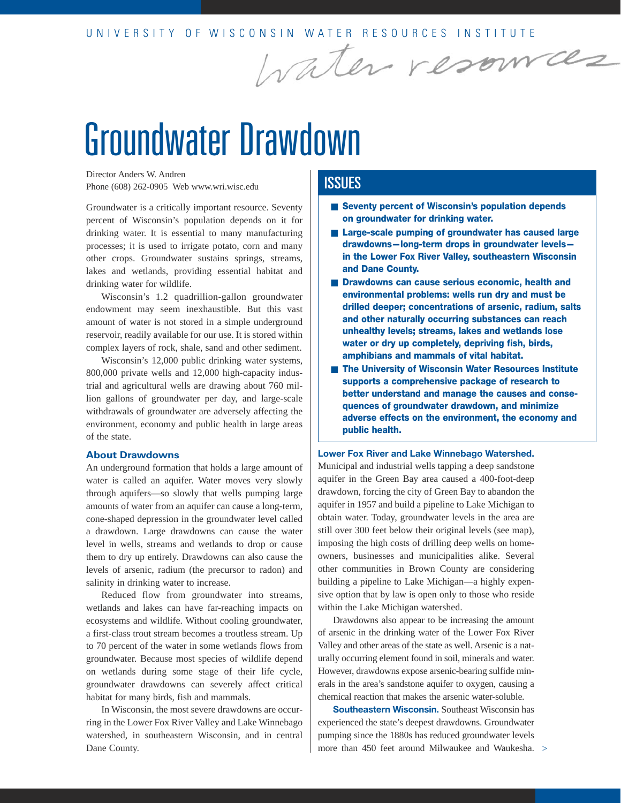# Groundwater Drawdown

Director Anders W. Andren Phone (608) 262-0905 Web www.wri.wisc.edu

Groundwater is a critically important resource. Seventy percent of Wisconsin's population depends on it for drinking water. It is essential to many manufacturing processes; it is used to irrigate potato, corn and many other crops. Groundwater sustains springs, streams, lakes and wetlands, providing essential habitat and drinking water for wildlife.

Wisconsin's 1.2 quadrillion-gallon groundwater endowment may seem inexhaustible. But this vast amount of water is not stored in a simple underground reservoir, readily available for our use. It is stored within complex layers of rock, shale, sand and other sediment.

Wisconsin's 12,000 public drinking water systems, 800,000 private wells and 12,000 high-capacity industrial and agricultural wells are drawing about 760 million gallons of groundwater per day, and large-scale withdrawals of groundwater are adversely affecting the environment, economy and public health in large areas of the state.

#### **About Drawdowns**

An underground formation that holds a large amount of water is called an aquifer. Water moves very slowly through aquifers—so slowly that wells pumping large amounts of water from an aquifer can cause a long-term, cone-shaped depression in the groundwater level called a drawdown. Large drawdowns can cause the water level in wells, streams and wetlands to drop or cause them to dry up entirely. Drawdowns can also cause the levels of arsenic, radium (the precursor to radon) and salinity in drinking water to increase.

Reduced flow from groundwater into streams, wetlands and lakes can have far-reaching impacts on ecosystems and wildlife. Without cooling groundwater, a first-class trout stream becomes a troutless stream. Up to 70 percent of the water in some wetlands flows from groundwater. Because most species of wildlife depend on wetlands during some stage of their life cycle, groundwater drawdowns can severely affect critical habitat for many birds, fish and mammals.

In Wisconsin, the most severe drawdowns are occurring in the Lower Fox River Valley and Lake Winnebago watershed, in southeastern Wisconsin, and in central Dane County.

## **ISSUES**

■ **Seventy percent of Wisconsin's population depends on groundwater for drinking water.**

Water resources

- **Large-scale pumping of groundwater has caused large drawdowns—long-term drops in groundwater levels in the Lower Fox River Valley, southeastern Wisconsin and Dane County.**
- **Drawdowns can cause serious economic, health and environmental problems: wells run dry and must be drilled deeper; concentrations of arsenic, radium, salts and other naturally occurring substances can reach unhealthy levels; streams, lakes and wetlands lose water or dry up completely, depriving fish, birds, amphibians and mammals of vital habitat.**
- **The University of Wisconsin Water Resources Institute supports a comprehensive package of research to better understand and manage the causes and consequences of groundwater drawdown, and minimize adverse effects on the environment, the economy and public health.**

#### **Lower Fox River and Lake Winnebago Watershed.**

Municipal and industrial wells tapping a deep sandstone aquifer in the Green Bay area caused a 400-foot-deep drawdown, forcing the city of Green Bay to abandon the aquifer in 1957 and build a pipeline to Lake Michigan to obtain water. Today, groundwater levels in the area are still over 300 feet below their original levels (see map), imposing the high costs of drilling deep wells on homeowners, businesses and municipalities alike. Several other communities in Brown County are considering building a pipeline to Lake Michigan—a highly expensive option that by law is open only to those who reside within the Lake Michigan watershed.

Drawdowns also appear to be increasing the amount of arsenic in the drinking water of the Lower Fox River Valley and other areas of the state as well. Arsenic is a naturally occurring element found in soil, minerals and water. However, drawdowns expose arsenic-bearing sulfide minerals in the area's sandstone aquifer to oxygen, causing a chemical reaction that makes the arsenic water-soluble.

**Southeastern Wisconsin.** Southeast Wisconsin has experienced the state's deepest drawdowns. Groundwater pumping since the 1880s has reduced groundwater levels more than 450 feet around Milwaukee and Waukesha. >